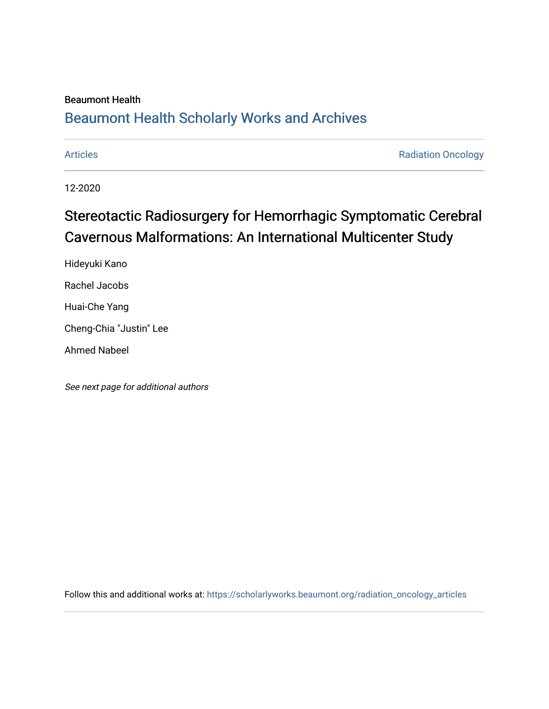### Beaumont Health

## [Beaumont Health Scholarly Works and Archives](https://scholarlyworks.beaumont.org/)

[Articles](https://scholarlyworks.beaumont.org/radiation_oncology_articles) **Articles Radiation Oncology** 

12-2020

# Stereotactic Radiosurgery for Hemorrhagic Symptomatic Cerebral Cavernous Malformations: An International Multicenter Study

Hideyuki Kano Rachel Jacobs Huai-Che Yang

Cheng-Chia "Justin" Lee

Ahmed Nabeel

See next page for additional authors

Follow this and additional works at: [https://scholarlyworks.beaumont.org/radiation\\_oncology\\_articles](https://scholarlyworks.beaumont.org/radiation_oncology_articles?utm_source=scholarlyworks.beaumont.org%2Fradiation_oncology_articles%2F178&utm_medium=PDF&utm_campaign=PDFCoverPages)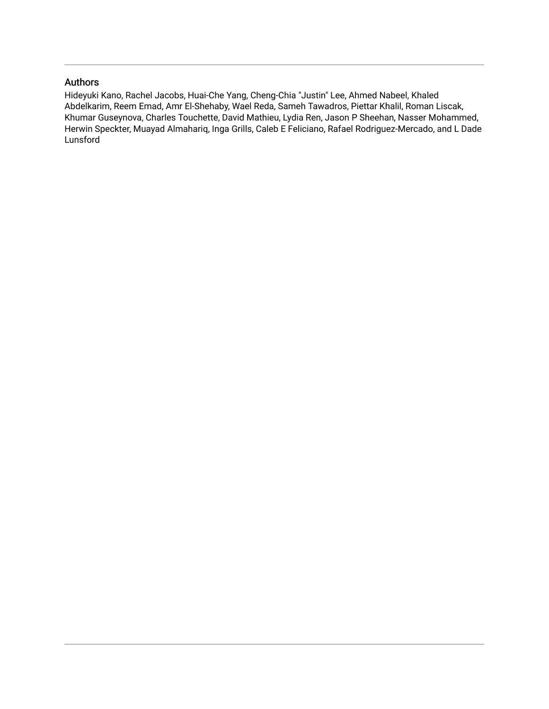### Authors

Hideyuki Kano, Rachel Jacobs, Huai-Che Yang, Cheng-Chia "Justin" Lee, Ahmed Nabeel, Khaled Abdelkarim, Reem Emad, Amr El-Shehaby, Wael Reda, Sameh Tawadros, Piettar Khalil, Roman Liscak, Khumar Guseynova, Charles Touchette, David Mathieu, Lydia Ren, Jason P Sheehan, Nasser Mohammed, Herwin Speckter, Muayad Almahariq, Inga Grills, Caleb E Feliciano, Rafael Rodriguez-Mercado, and L Dade Lunsford